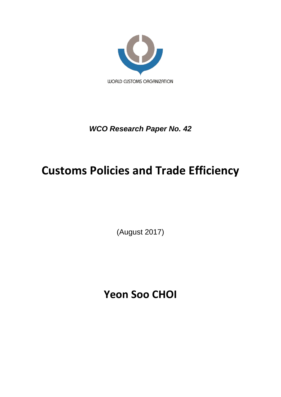

## *WCO Research Paper No. 42*

# **Customs Policies and Trade Efficiency**

(August 2017)

**Yeon Soo CHOI**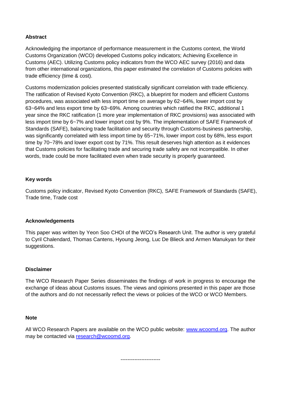## **Abstract**

Acknowledging the importance of performance measurement in the Customs context, the World Customs Organization (WCO) developed Customs policy indicators; Achieving Excellence in Customs (AEC). Utilizing Customs policy indicators from the WCO AEC survey (2016) and data from other international organizations, this paper estimated the correlation of Customs policies with trade efficiency (time & cost).

Customs modernization policies presented statistically significant correlation with trade efficiency. The ratification of Revised Kyoto Convention (RKC), a blueprint for modern and efficient Customs procedures, was associated with less import time on average by 62~64%, lower import cost by 63~64% and less export time by 63~69%. Among countries which ratified the RKC, additional 1 year since the RKC ratification (1 more year implementation of RKC provisions) was associated with less import time by 6~7% and lower import cost by 9%. The implementation of SAFE Framework of Standards (SAFE), balancing trade facilitation and security through Customs-business partnership, was significantly correlated with less import time by 65~71%, lower import cost by 68%, less export time by 70~78% and lower export cost by 71%. This result deserves high attention as it evidences that Customs policies for facilitating trade and securing trade safety are not incompatible. In other words, trade could be more facilitated even when trade security is properly guaranteed.

## **Key words**

Customs policy indicator, Revised Kyoto Convention (RKC), SAFE Framework of Standards (SAFE), Trade time, Trade cost

## **Acknowledgements**

This paper was written by Yeon Soo CHOI of the WCO's Research Unit. The author is very grateful to Cyril Chalendard, Thomas Cantens, Hyoung Jeong, Luc De Blieck and Armen Manukyan for their suggestions.

## **Disclaimer**

The WCO Research Paper Series disseminates the findings of work in progress to encourage the exchange of ideas about Customs issues. The views and opinions presented in this paper are those of the authors and do not necessarily reflect the views or policies of the WCO or WCO Members.

## **Note**

All WCO Research Papers are available on the WCO public website: [www.wcoomd.org.](http://www.wcoomd.org/) The author may be contacted via [research@wcoomd.org.](mailto:research@wcoomd.org)

-----------------------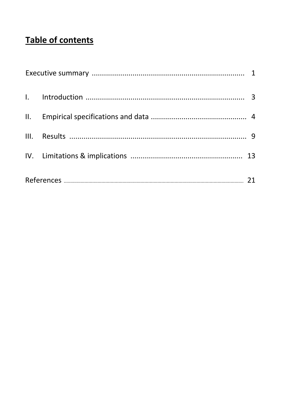## Table of contents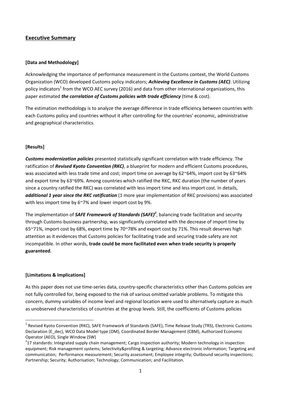## **Executive Summary**

## **[Data and Methodology]**

Acknowledging the importance of performance measurement in the Customs context, the World Customs Organization (WCO) developed Customs policy indicators; *Achieving Excellence in Customs (AEC)*. Utilizing policy indicators<sup>1</sup> from the WCO AEC survey (2016) and data from other international organizations, this paper estimated *the correlation of Customs policies with trade efficiency* (time & cost).

The estimation methodology is to analyze the average difference in trade efficiency between countries with each Customs policy and countries without it after controlling for the countries' economic, administrative and geographical characteristics.

## **[Results]**

*Customs modernization policies* presented statistically significant correlation with trade efficiency. The ratification of *Revised Kyoto Convention (RKC)*, a blueprint for modern and efficient Customs procedures, was associated with less trade time and cost; import time on average by 62~64%, import cost by 63~64% and export time by 63~69%. Among countries which ratified the RKC, RKC duration (the number of years since a country ratified the RKC) was correlated with less import time and less import cost. In details, *additional 1 year since the RKC ratification* (1 more year implementation of RKC provisions) was associated with less import time by 6~7% and lower import cost by 9%.

The implementation of *SAFE Framework of Standards (SAFE)<sup>2</sup>* , balancing trade facilitation and security through Customs-business partnership, was significantly correlated with the decrease of import time by 65~71%, import cost by 68%, export time by 70~78% and export cost by 71%. This result deserves high attention as it evidences that Customs policies for facilitating trade and securing trade safety are not incompatible. In other words, **trade could be more facilitated even when trade security is properly guaranteed**.

## **[Limitations & Implications]**

 $\overline{a}$ 

As this paper does not use time-series data, country-specific characteristics other than Customs policies are not fully controlled for, being exposed to the risk of various omitted variable problems. To mitigate this concern, dummy variables of income level and regional location were used to alternatively capture as much as unobserved characteristics of countries at the group levels. Still, the coefficients of Customs policies

<sup>&</sup>lt;sup>1</sup> Revised Kyoto Convention (RKC), SAFE Framework of Standards (SAFE), Time Release Study (TRS), Electronic Customs Declaration (E\_dec), WCO Data Model type (DM), Coordinated Border Management (CBM), Authorized Economic Operator (AEO), Single Window (SW)

 $2$ 17 standards: Integrated supply chain management; Cargo inspection authority; Modern technology in inspection equipment; Risk management systems; Selectivity&profiling & targeting; Advance electronic information; Targeting and communication; Performance measurement; Security assessment; Employee integrity; Outbound security inspections; Partnership; Security; Authorisation; Technology; Communication; and Facilitation.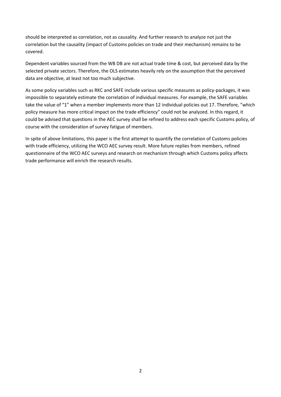should be interpreted as correlation, not as causality. And further research to analyze not just the correlation but the causality (impact of Customs policies on trade and their mechanism) remains to be covered.

Dependent variables sourced from the WB DB are not actual trade time & cost, but perceived data by the selected private sectors. Therefore, the OLS estimates heavily rely on the assumption that the perceived data are objective, at least not too much subjective.

As some policy variables such as RKC and SAFE include various specific measures as policy-packages, it was impossible to separately estimate the correlation of individual measures. For example, the SAFE variables take the value of "1" when a member implements more than 12 individual policies out 17. Therefore, "which policy measure has more critical impact on the trade efficiency" could not be analyzed. In this regard, it could be advised that questions in the AEC survey shall be refined to address each specific Customs policy, of course with the consideration of survey fatigue of members.

In spite of above limitations, this paper is the first attempt to quantify the correlation of Customs policies with trade efficiency, utilizing the WCO AEC survey result. More future replies from members, refined questionnaire of the WCO AEC surveys and research on mechanism through which Customs policy affects trade performance will enrich the research results.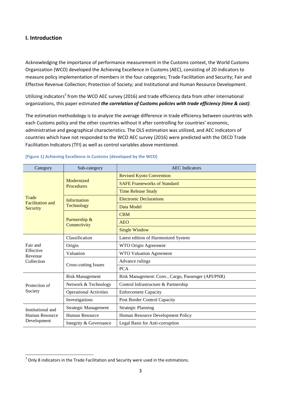## **I. Introduction**

Acknowledging the importance of performance measurement in the Customs context, the World Customs Organization (WCO) developed the Achieving Excellence in Customs (AEC), consisting of 20 indicators to measure policy implementation of members in the four categories; Trade Facilitation and Security; Fair and Effective Revenue Collection; Protection of Society; and Institutional and Human Resource Development.

Utilizing indicators<sup>3</sup> from the WCO AEC survey (2016) and trade efficiency data from other international organizations, this paper estimated *the correlation of Customs policies with trade efficiency (time & cost)*.

The estimation methodology is to analyze the average difference in trade efficiency between countries with each Customs policy and the other countries without it after controlling for countries' economic, administrative and geographical characteristics. The OLS estimation was utilized, and AEC indicators of countries which have not responded to the WCO AEC survey (2016) were predicted with the OECD Trade Facilitation Indicators (TFI) as well as control variables above mentioned.

| Category                         | Sub-category                  | <b>AEC</b> Indicators                              |  |  |  |
|----------------------------------|-------------------------------|----------------------------------------------------|--|--|--|
|                                  |                               | <b>Revised Kyoto Convention</b>                    |  |  |  |
|                                  | Modernized<br>Procedures      | <b>SAFE Frameworks of Standard</b>                 |  |  |  |
|                                  |                               | <b>Time Release Study</b>                          |  |  |  |
| Trade<br><b>Facilitation</b> and | <b>Information</b>            | <b>Electronic Declarations</b>                     |  |  |  |
| Security                         | Technology                    | Data Model                                         |  |  |  |
|                                  |                               | <b>CBM</b>                                         |  |  |  |
|                                  | Partnership &<br>Connectivity | <b>AEO</b>                                         |  |  |  |
|                                  |                               | <b>Single Window</b>                               |  |  |  |
|                                  | Classification                | Latest edition of Harmonized System                |  |  |  |
| Fair and                         | Origin                        | WTO Origin Agreement                               |  |  |  |
| Effective<br>Revenue             | Valuation                     | WTO Valuation Agreement                            |  |  |  |
| Collection                       | <b>Cross-cutting Issues</b>   | Advance rulings                                    |  |  |  |
|                                  |                               | <b>PCA</b>                                         |  |  |  |
|                                  | <b>Risk Management</b>        | Risk Management: Conv., Cargo, Passenger (API/PNR) |  |  |  |
| Protection of                    | Network & Technology          | Control Infrastructure & Partnership               |  |  |  |
| Society                          | <b>Operational Activities</b> | <b>Enforcement Capacity</b>                        |  |  |  |
|                                  | Investigations                | Post Border Control Capacity                       |  |  |  |
| Institutional and                | <b>Strategic Management</b>   | <b>Strategic Planning</b>                          |  |  |  |
| Human Resource                   | <b>Human Resource</b>         | Human Resource Development Policy                  |  |  |  |
| Development                      | Integrity & Governance        | Legal Basis for Anti-corruption                    |  |  |  |

**[Figure 1] Achieving Excellence in Customs (developed by the WCO)**

**<sup>.</sup>**  $3$  Only 8 indicators in the Trade Facilitation and Security were used in the estimations.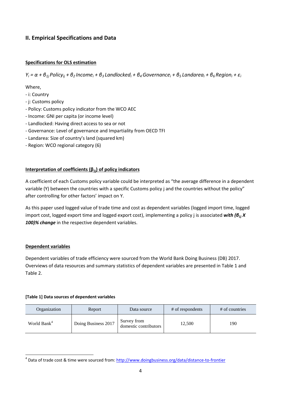## **II. Empirical Specifications and Data**

## **Specifications for OLS estimation**

 $Y_i = \alpha + \beta_{1i}$  Policy<sub>ii</sub> +  $\beta_2$  Income<sub>i</sub> +  $\beta_3$  Landlocked<sub>i</sub> +  $\beta_4$  Governance<sub>i</sub> +  $\beta_5$  Landarea<sub>i</sub> +  $\beta_6$  Region<sub>i</sub> +  $\varepsilon_i$ 

Where,

- i: Country
- j: Customs policy
- Policy: Customs policy indicator from the WCO AEC
- Income: GNI per capita (or income level)
- Landlocked: Having direct access to sea or not
- Governance: Level of governance and Impartiality from OECD TFI
- Landarea: Size of country's land (squared km)
- Region: WCO regional category (6)

## **Interpretation of coefficients (β1j) of policy indicators**

A coefficient of each Customs policy variable could be interpreted as "the average difference in a dependent variable (Y) between the countries with a specific Customs policy j and the countries without the policy" after controlling for other factors' impact on Y.

As this paper used logged value of trade time and cost as dependent variables (logged import time, logged import cost, logged export time and logged export cost), implementing a policy j is associated *with (β1j X 100)% change* in the respective dependent variables.

## **Dependent variables**

**.** 

Dependent variables of trade efficiency were sourced from the World Bank Doing Business (DB) 2017. Overviews of data resources and summary statistics of dependent variables are presented in Table 1 and Table 2.

## **[Table 1] Data sources of dependent variables**

| Organization            | Report              | Data source                          | # of respondents | # of countries |
|-------------------------|---------------------|--------------------------------------|------------------|----------------|
| World Bank <sup>4</sup> | Doing Business 2017 | Survey from<br>domestic contributors | 12,500           | 190            |

<sup>&</sup>lt;sup>4</sup> Data of trade cost & time were sourced from:<http://www.doingbusiness.org/data/distance-to-frontier>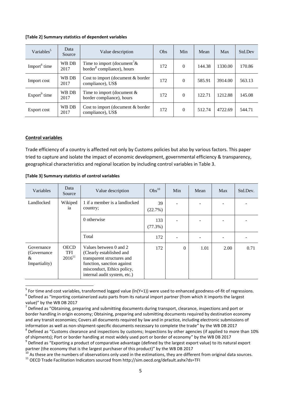#### **[Table 2] Summary statistics of dependent variables**

| Variables <sup>5</sup>   | Data<br>Source | Value description                                                                    | Obs | Min      | Mean   | Max     | Std.Dev |
|--------------------------|----------------|--------------------------------------------------------------------------------------|-----|----------|--------|---------|---------|
| Import <sup>6</sup> time | WB DB<br>2017  | Time to import (document <sup>7</sup> $\&$<br>border <sup>8</sup> compliance), hours | 172 | $\Omega$ | 144.38 | 1330.00 | 170.86  |
| Import cost              | WB DB<br>2017  | Cost to import (document & border<br>compliance), US\$                               | 172 | $\Omega$ | 585.91 | 3914.00 | 563.13  |
| $Export9$ time           | WB DB<br>2017  | Time to import (document $&$<br>border compliance), hours                            | 172 | $\Omega$ | 122.71 | 1212.88 | 145.08  |
| Export cost              | WB DB<br>2017  | Cost to import (document & border<br>compliance), US\$                               | 172 | $\Omega$ | 512.74 | 4722.69 | 544.71  |

#### **Control variables**

1

Trade efficiency of a country is affected not only by Customs policies but also by various factors. This paper tried to capture and isolate the impact of economic development, governmental efficiency & transparency, geographical characteristics and regional location by including control variables in Table 3.

|  |  | [Table 3] Summary statistics of control variables |  |  |
|--|--|---------------------------------------------------|--|--|
|--|--|---------------------------------------------------|--|--|

| Variables                                        | Data<br>Source                    | Value description                                                                                                                                                            | Obs <sup>10</sup> | Min      | Mean | Max  | Std.Dev. |
|--------------------------------------------------|-----------------------------------|------------------------------------------------------------------------------------------------------------------------------------------------------------------------------|-------------------|----------|------|------|----------|
| Landlocked                                       | Wikiped<br>ia                     | 1 if a member is a landlocked<br>country;                                                                                                                                    | 39<br>(22.7%)     |          |      |      |          |
|                                                  |                                   | 0 otherwise                                                                                                                                                                  | 133<br>$(77.3\%)$ |          |      |      |          |
|                                                  |                                   | Total                                                                                                                                                                        | 172               |          |      |      |          |
| Governance<br>(Governance)<br>&<br>Impartiality) | <b>OECD</b><br>TFI<br>$2016^{11}$ | Values between 0 and 2<br>(Clearly established and<br>transparent structures and<br>function, sanction against<br>misconduct, Ethics policy,<br>internal audit system, etc.) | 172               | $\Omega$ | 1.01 | 2.00 | 0.71     |

<sup>&</sup>lt;sup>5</sup> For time and cost variables, transformed logged value (ln(Y+1)) were used to enhanced goodness-of-fit of regressions.  $^6$  Defined as "Importing containerized auto parts from its natural import partner (from which it imports the largest value)" by the WB DB 2017

 $^7$  Defined as "Obtaining, preparing and submitting documents during transport, clearance, inspections and port or border handling in origin economy; Obtaining, preparing and submitting documents required by destination economy and any transit economies; Covers all documents required by law and in practice, including electronic submissions of information as well as non-shipment-specific documents necessary to complete the trade" by the WB DB 2017

 $^8$  Defined as "Customs clearance and inspections by customs; Inspections by other agencies (if applied to more than 10% of shipments); Port or border handling at most widely used port or border of economy" by the WB DB 2017

 $^9$  Defined as "Exporting a product of comparative advantage (defined by the largest export value) to its natural export partner (the economy that is the largest purchaser of this product)" by the WB DB 2017

 $^{10}$  As these are the numbers of observations only used in the estimations, they are different from original data sources.

<sup>11</sup> OECD Trade Facilitation Indicators sourced from http://sim.oecd.org/default.ashx?ds=TFI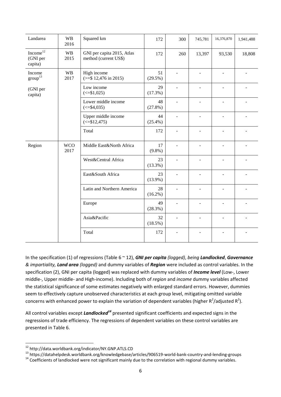| Landarea                          | <b>WB</b><br>2016  | Squared km                                          | 172              | 300                      | 745,781                  | 16,376,870               | 1,941,488 |
|-----------------------------------|--------------------|-----------------------------------------------------|------------------|--------------------------|--------------------------|--------------------------|-----------|
| $Income12$<br>(GNI per<br>capita) | <b>WB</b><br>2015  | GNI per capita 2015, Atlas<br>method (current US\$) | 172              | 260                      | 13,397                   | 93,530                   | 18,808    |
| Income<br>$\text{group}^{13}$     | <b>WB</b><br>2017  | High income<br>$(>= $ 12,476 \text{ in } 2015)$     | 51<br>(29.5%)    | $\sim$                   |                          | L,                       |           |
| (GNI per<br>capita)               |                    | Low income<br>$\left( \leq 1,025 \right)$           | 29<br>(17.3%)    |                          |                          |                          |           |
|                                   |                    | Lower middle income<br>$\left( \leq 4, 035 \right)$ | 48<br>(27.8%)    | $\overline{\phantom{a}}$ | $\overline{\phantom{a}}$ | $\blacksquare$           |           |
|                                   |                    | Upper middle income<br>$\left( \leq 12,475 \right)$ | 44<br>$(25.4\%)$ | $\overline{\phantom{a}}$ |                          |                          |           |
|                                   |                    | Total                                               | 172              | $\sim$                   |                          | $\blacksquare$           |           |
| Region                            | <b>WCO</b><br>2017 | Middle East&North Africa                            | 17<br>$(9.8\%)$  |                          |                          |                          |           |
|                                   |                    | West&Central Africa                                 | 23<br>$(13.3\%)$ | $\sim$                   | $\overline{\phantom{m}}$ | $\overline{\phantom{a}}$ |           |
|                                   |                    | East&South Africa                                   | 23<br>$(13.9\%)$ | $\blacksquare$           | $\overline{\phantom{m}}$ | $\overline{\phantom{a}}$ |           |
|                                   |                    | Latin and Northern America                          | 28<br>$(16.2\%)$ | $\blacksquare$           |                          |                          |           |
|                                   |                    | Europe                                              | 49<br>(28.3%)    | ÷                        |                          | ٠                        |           |
|                                   |                    | Asia&Pacific                                        | 32<br>$(18.5\%)$ |                          |                          |                          |           |
|                                   |                    | Total                                               | 172              | $\blacksquare$           |                          |                          |           |

In the specification (1) of regressions (Table 6 ~ 12), *GNI per capita (logged)*, *being Landlocked*, *Governance & impartiality, Land area (logged)* and dummy variables of *Region* were included as control variables. In the specification (2), GNI per capita (logged) was replaced with dummy variables of *Income level* (Low-, Lower middle-, Upper middle- and High-income). Including both of *region* and *income* dummy variables affected the statistical significance of some estimates negatively with enlarged standard errors. However, dummies seem to effectively capture unobserved characteristics at each group level, mitigating omitted variable concerns with enhanced power to explain the variation of dependent variables (higher  $R^2$ /adjusted  $R^2$ ).

All control variables except *Landlocked<sup>14</sup>* presented significant coefficients and expected signs in the regressions of trade efficiency. The regressions of dependent variables on these control variables are presented in Table 6.

**.** 

<sup>&</sup>lt;sup>12</sup> http://data.worldbank.org/indicator/NY.GNP.ATLS.CD

<sup>13</sup> https://datahelpdesk.worldbank.org/knowledgebase/articles/906519-world-bank-country-and-lending-groups

 $14$  Coefficients of landlocked were not significant mainly due to the correlation with regional dummy variables.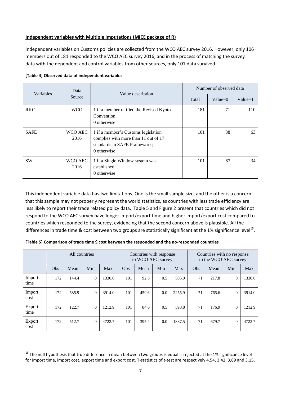## **Independent variables with Multiple Imputations (MICE package of R)**

Independent variables on Customs policies are collected from the WCO AEC survey 2016. However, only 106 members out of 181 responded to the WCO AEC survey 2016, and in the process of matching the survey data with the dependent and control variables from other sources, only 101 data survived.

| Variables   | Data            | Value description                                                                                                          | Number of observed data |            |           |  |
|-------------|-----------------|----------------------------------------------------------------------------------------------------------------------------|-------------------------|------------|-----------|--|
|             | Source          |                                                                                                                            | Total                   | Value= $0$ | $Value=1$ |  |
| <b>RKC</b>  | <b>WCO</b>      | 1 if a member ratified the Revised Kyoto<br>Convention;<br>0 otherwise                                                     | 181                     | 71         | 110       |  |
| <b>SAFE</b> | WCO AEC<br>2016 | 1 if a member's Customs legislation<br>complies with more than 11 out of 17<br>standards in SAFE Framework;<br>0 otherwise | 101                     | 38         | 63        |  |
| <b>SW</b>   | WCO AEC<br>2016 | 1 if a Single Window system was<br>established;<br>0 otherwise                                                             | 101                     | 67         | 34        |  |

#### **[Table 4] Observed data of independent variables**

**.** 

This independent variable data has two limitations. One is the small sample size, and the other is a concern that this sample may not properly represent the world statistics, as countries with less trade efficiency are less likely to report their trade related policy data. Table 5 and Figure 2 present that countries which did not respond to the WCO AEC survey have longer import/export time and higher import/export cost compared to countries which responded to the survey, evidencing that the second concern above is plausible. All the differences in trade time & cost between two groups are statistically significant at the 1% significance level<sup>15</sup>.

| [Table 5] Comparison of trade time \$ cost between the responded and the no-responded countries |  |  |
|-------------------------------------------------------------------------------------------------|--|--|
|-------------------------------------------------------------------------------------------------|--|--|

|                |     | All countries |          |        | Countries with response<br>to WCO AEC survey |       |     |        | Countries with no response<br>to the WCO AEC survey |       |              |        |
|----------------|-----|---------------|----------|--------|----------------------------------------------|-------|-----|--------|-----------------------------------------------------|-------|--------------|--------|
|                | Obs | Mean          | Min      | Max    | Obs                                          | Mean  | Min | Max    | Obs                                                 | Mean  | Min          | Max    |
| Import<br>time | 172 | 144.4         | $\Omega$ | 1330.0 | 101                                          | 92.8  | 0.5 | 505.0  | 71                                                  | 217.8 | $\theta$     | 1330.0 |
| Import<br>cost | 172 | 585.9         | $\Omega$ | 3914.0 | 101                                          | 459.6 | 0.0 | 2255.9 | 71                                                  | 765.6 | $\mathbf{0}$ | 3914.0 |
| Export<br>time | 172 | 122.7         | $\Omega$ | 1212.9 | 101                                          | 84.6  | 0.5 | 598.8  | 71                                                  | 176.9 | $\mathbf{0}$ | 1212.9 |
| Export<br>cost | 172 | 512.7         | $\Omega$ | 4722.7 | 101                                          | 395.4 | 0.0 | 1837.5 | 71                                                  | 679.7 | $\mathbf{0}$ | 4722.7 |

<sup>&</sup>lt;sup>15</sup> The null hypothesis that true difference in mean between two groups is equal is rejected at the 1% significance level for import time, import cost, export time and export cost. T-statistics of t-test are respectively 4.54, 3.42, 3,89 and 3.15.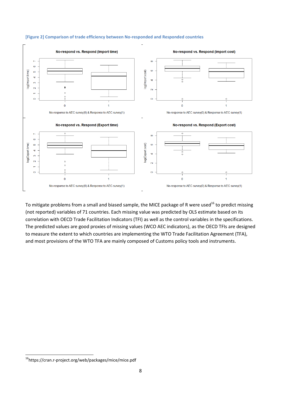

## **[Figure 2] Comparison of trade efficiency between No-responded and Responded countries**

To mitigate problems from a small and biased sample, the MICE package of R were used<sup>16</sup> to predict missing (not reported) variables of 71 countries. Each missing value was predicted by OLS estimate based on its correlation with OECD Trade Facilitation Indicators (TFI) as well as the control variables in the specifications. The predicted values are good proxies of missing values (WCO AEC indicators), as the OECD TFIs are designed to measure the extent to which countries are implementing the WTO Trade Facilitation Agreement (TFA), and most provisions of the WTO TFA are mainly composed of Customs policy tools and instruments.

**<sup>.</sup>** <sup>16</sup>https://cran.r-project.org/web/packages/mice/mice.pdf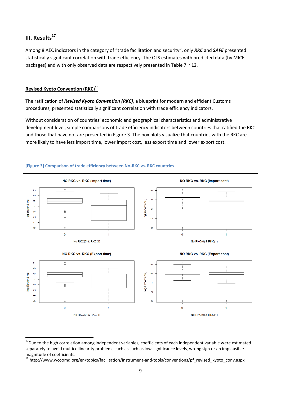## **III. Results<sup>17</sup>**

**.** 

Among 8 AEC indicators in the category of "trade facilitation and security", only *RKC* and *SAFE* presented statistically significant correlation with trade efficiency. The OLS estimates with predicted data (by MICE packages) and with only observed data are respectively presented in Table  $7 \approx 12$ .

## **Revised Kyoto Convention (RKC)<sup>18</sup>**

The ratification of *Revised Kyoto Convention (RKC)*, a blueprint for modern and efficient Customs procedures, presented statistically significant correlation with trade efficiency indicators.

Without consideration of countries' economic and geographical characteristics and administrative development level, simple comparisons of trade efficiency indicators between countries that ratified the RKC and those that have not are presented in Figure 3. The box plots visualize that countries with the RKC are more likely to have less import time, lower import cost, less export time and lower export cost.



#### **[Figure 3] Comparison of trade efficiency between No-RKC vs. RKC countries**

<sup>&</sup>lt;sup>17</sup>Due to the high correlation among independent variables, coefficients of each independent variable were estimated separately to avoid multicollinearity problems such as such as low significance levels, wrong sign or an implausible magnitude of coefficients.

<sup>18</sup> http://www.wcoomd.org/en/topics/facilitation/instrument-and-tools/conventions/pf\_revised\_kyoto\_conv.aspx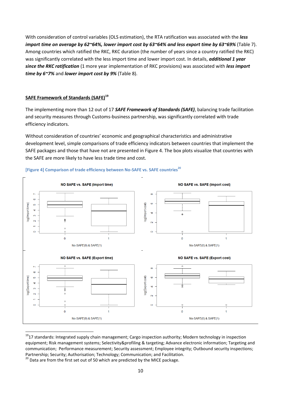With consideration of control variables (OLS estimation), the RTA ratification was associated with the *less import time on average by 62~64%, lower import cost by 63~64% and less export time by 63~69%* (Table 7). Among countries which ratified the RKC, RKC duration (the number of years since a country ratified the RKC) was significantly correlated with the less import time and lower import cost. In details, *additional 1 year since the RKC ratification* (1 more year implementation of RKC provisions) was associated with *less import time by 6~7%* and *lower import cost by 9%* (Table 8).

## **SAFE Framework of Standards (SAFE)<sup>19</sup>**

The implementing more than 12 out of 17 *SAFE Framework of Standards (SAFE)*, balancing trade facilitation and security measures through Customs-business partnership, was significantly correlated with trade efficiency indicators.

Without consideration of countries' economic and geographical characteristics and administrative development level, simple comparisons of trade efficiency indicators between countries that implement the SAFE packages and those that have not are presented in Figure 4. The box plots visualize that countries with the SAFE are more likely to have less trade time and cost.



#### **[Figure 4] Comparison of trade efficiency between No-SAFE vs. SAFE countries<sup>20</sup>**

 $\overline{a}$ 

<sup>&</sup>lt;sup>19</sup>17 standards: Integrated supply chain management; Cargo inspection authority; Modern technology in inspection equipment; Risk management systems; Selectivity&profiling & targeting; Advance electronic information; Targeting and communication; Performance measurement; Security assessment; Employee integrity; Outbound security inspections; Partnership; Security; Authorisation; Technology; Communication; and Facilitation.

 $^{20}$  Data are from the first set out of 50 which are predicted by the MICE package.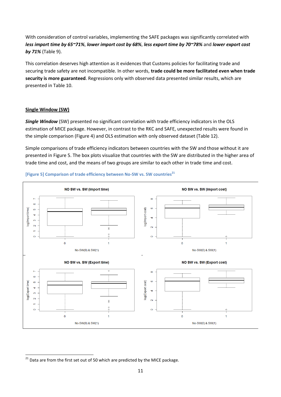With consideration of control variables, implementing the SAFE packages was significantly correlated with *less import time by 65~71%*, *lower import cost by 68%*, *less export time by 70~78%* and *lower export cost by 71%* (Table 9).

This correlation deserves high attention as it evidences that Customs policies for facilitating trade and securing trade safety are not incompatible. In other words, **trade could be more facilitated even when trade security is more guaranteed**. Regressions only with observed data presented similar results, which are presented in Table 10.

## **Single Window (SW)**

*Single Window* (SW) presented no significant correlation with trade efficiency indicators in the OLS estimation of MICE package. However, in contrast to the RKC and SAFE, unexpected results were found in the simple comparison (Figure 4) and OLS estimation with only observed dataset (Table 12).

Simple comparisons of trade efficiency indicators between countries with the SW and those without it are presented in Figure 5. The box plots visualize that countries with the SW are distributed in the higher area of trade time and cost, and the means of two groups are similar to each other in trade time and cost.



## **[Figure 5] Comparison of trade efficiency between No-SW vs. SW countries<sup>21</sup>**

**<sup>.</sup>**  $^{21}$  Data are from the first set out of 50 which are predicted by the MICE package.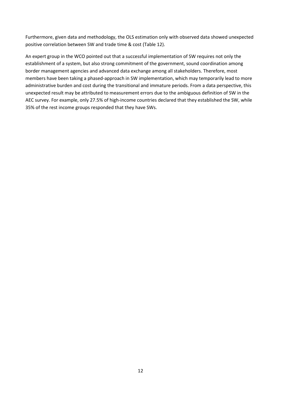Furthermore, given data and methodology, the OLS estimation only with observed data showed unexpected positive correlation between SW and trade time & cost (Table 12).

An expert group in the WCO pointed out that a successful implementation of SW requires not only the establishment of a system, but also strong commitment of the government, sound coordination among border management agencies and advanced data exchange among all stakeholders. Therefore, most members have been taking a phased-approach in SW implementation, which may temporarily lead to more administrative burden and cost during the transitional and immature periods. From a data perspective, this unexpected result may be attributed to measurement errors due to the ambiguous definition of SW in the AEC survey. For example, only 27.5% of high-income countries declared that they established the SW, while 35% of the rest income groups responded that they have SWs.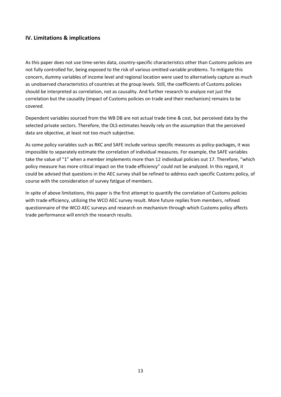## **IV. Limitations & implications**

As this paper does not use time-series data, country-specific characteristics other than Customs policies are not fully controlled for, being exposed to the risk of various omitted variable problems. To mitigate this concern, dummy variables of income level and regional location were used to alternatively capture as much as unobserved characteristics of countries at the group levels. Still, the coefficients of Customs policies should be interpreted as correlation, not as causality. And further research to analyze not just the correlation but the causality (impact of Customs policies on trade and their mechanism) remains to be covered.

Dependent variables sourced from the WB DB are not actual trade time & cost, but perceived data by the selected private sectors. Therefore, the OLS estimates heavily rely on the assumption that the perceived data are objective, at least not too much subjective.

As some policy variables such as RKC and SAFE include various specific measures as policy-packages, it was impossible to separately estimate the correlation of individual measures. For example, the SAFE variables take the value of "1" when a member implements more than 12 individual policies out 17. Therefore, "which policy measure has more critical impact on the trade efficiency" could not be analyzed. In this regard, it could be advised that questions in the AEC survey shall be refined to address each specific Customs policy, of course with the consideration of survey fatigue of members.

In spite of above limitations, this paper is the first attempt to quantify the correlation of Customs policies with trade efficiency, utilizing the WCO AEC survey result. More future replies from members, refined questionnaire of the WCO AEC surveys and research on mechanism through which Customs policy affects trade performance will enrich the research results.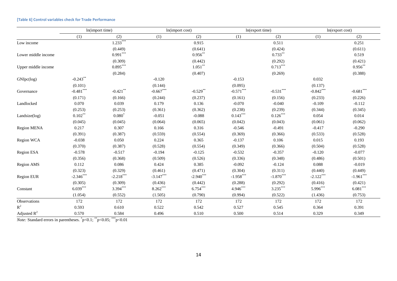|                     |             | ln(import time) |             | In(import cost) |             | ln(export time) |             | ln(export cost) |
|---------------------|-------------|-----------------|-------------|-----------------|-------------|-----------------|-------------|-----------------|
|                     | (1)         | (2)             | (1)         | (2)             | (1)         | (2)             | (1)         | (2)             |
| Low income          |             | $1.233***$      |             | 0.915           |             | 0.511           |             | 0.251           |
|                     |             | (0.449)         |             | (0.641)         |             | (0.424)         |             | (0.611)         |
| Lower middle income |             | $0.991***$      |             | $0.956$ **      |             | $0.733***$      |             | 0.519           |
|                     |             | (0.309)         |             | (0.442)         |             | (0.292)         |             | (0.421)         |
| Upper middle income |             | $0.895***$      |             | $1.051***$      |             | $0.713***$      |             | $0.956**$       |
|                     |             | (0.284)         |             | (0.407)         |             | (0.269)         |             | (0.388)         |
| GNIpc(log)          | $-0.243***$ |                 | $-0.120$    |                 | $-0.153$    |                 | 0.032       |                 |
|                     | (0.101)     |                 | (0.144)     |                 | (0.095)     |                 | (0.137)     |                 |
| Governance          | $-0.481***$ | $-0.421$ **     | $-0.667***$ | $-0.529**$      | $-0.571***$ | $-0.531***$     | $-0.842***$ | $-0.681***$     |
|                     | (0.171)     | (0.166)         | (0.244)     | (0.237)         | (0.161)     | (0.156)         | (0.233)     | (0.226)         |
| Landlocked          | 0.070       | 0.039           | 0.179       | 0.136           | $-0.070$    | $-0.040$        | $-0.109$    | $-0.112$        |
|                     | (0.253)     | (0.253)         | (0.361)     | (0.362)         | (0.238)     | (0.239)         | (0.344)     | (0.345)         |
| Landsize(log)       | $0.102***$  | $0.080^{*}$     | $-0.051$    | $-0.088$        | $0.143***$  | $0.126***$      | 0.054       | 0.014           |
|                     | (0.045)     | (0.045)         | (0.064)     | (0.065)         | (0.042)     | (0.043)         | (0.061)     | (0.062)         |
| <b>Region MENA</b>  | 0.217       | 0.307           | 0.166       | 0.316           | $-0.546$    | $-0.491$        | $-0.417$    | $-0.290$        |
|                     | (0.391)     | (0.387)         | (0.559)     | (0.554)         | (0.369)     | (0.366)         | (0.533)     | (0.528)         |
| Region WCA          | $-0.038$    | 0.050           | 0.224       | 0.365           | $-0.137$    | 0.106           | 0.015       | 0.193           |
|                     | (0.370)     | (0.387)         | (0.528)     | (0.554)         | (0.349)     | (0.366)         | (0.504)     | (0.528)         |
| Region ESA          | $-0.578$    | $-0.517$        | $-0.194$    | $-0.125$        | $-0.532$    | $-0.357$        | $-0.120$    | $-0.077$        |
|                     | (0.356)     | (0.368)         | (0.509)     | (0.526)         | (0.336)     | (0.348)         | (0.486)     | (0.501)         |
| Region AMS          | 0.112       | 0.086           | 0.424       | 0.385           | $-0.092$    | $-0.124$        | 0.088       | $-0.019$        |
|                     | (0.323)     | (0.329)         | (0.461)     | (0.471)         | (0.304)     | (0.311)         | (0.440)     | (0.449)         |
| Region EUR          | $-2.346***$ | $-2.218***$     | $-3.147***$ | $-2.940***$     | $-1.958***$ | $-1.870***$     | $-2.122***$ | $-1.961***$     |
|                     | (0.305)     | (0.309)         | (0.436)     | (0.442)         | (0.288)     | (0.292)         | (0.416)     | (0.421)         |
| Constant            | $6.039***$  | $3.394***$      | $8.262***$  | $6.754***$      | $4.946***$  | $3.235***$      | $5.996***$  | $6.081***$      |
|                     | (1.054)     | (0.552)         | (1.505)     | (0.790)         | (0.994)     | (0.522)         | (1.436)     | (0.753)         |
| Observations        | 172         | 172             | 172         | 172             | 172         | 172             | 172         | 172             |
| ${\bf R}^2$         | 0.593       | 0.610           | 0.522       | 0.542           | 0.527       | 0.545           | 0.364       | 0.391           |
| Adjusted $R^2$      | 0.570       | 0.584           | 0.496       | 0.510           | 0.500       | 0.514           | 0.329       | 0.349           |

#### **[Table 6] Control variables check for Trade Performance**

*Note:* Standard errors in parentheses.  $p<0.1$ ;  $p<0.05$ ;  $p<0.01$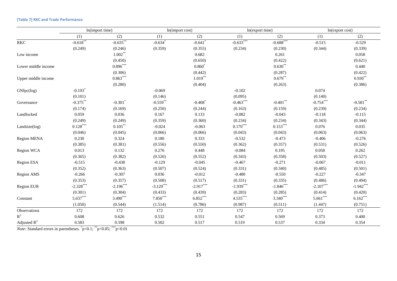|                     |                       | In(import time)       |                       | In(import cost)       |             | ln(export time)         |             | ln(export cost)              |  |
|---------------------|-----------------------|-----------------------|-----------------------|-----------------------|-------------|-------------------------|-------------|------------------------------|--|
|                     | (1)                   | (2)                   | (1)                   | (2)                   | (1)         | (2)                     | (1)         | (2)                          |  |
| <b>RKC</b>          | $-0.618$ **           | $-0.635***$           | $-0.634$ <sup>*</sup> | $-0.641$ <sup>*</sup> | $-0.633***$ | $-0.688$ <sup>***</sup> | $-0.515$    | $-0.529$                     |  |
|                     | (0.249)               | (0.246)               | (0.359)               | (0.355)               | (0.234)     | (0.230)                 | (0.344)     | (0.339)                      |  |
| Low income          |                       | $1.002***$            |                       | 0.682                 |             | 0.261                   |             | 0.058                        |  |
|                     |                       | (0.450)               |                       | (0.650)               |             | (0.422)                 |             | (0.621)                      |  |
| Lower middle income |                       | $0.896***$            |                       | $0.860*$              |             | $0.630^{\ast\ast}$      |             | 0.440                        |  |
|                     |                       | (0.306)               |                       | (0.442)               |             | (0.287)                 |             | (0.422)                      |  |
| Upper middle income |                       | $0.863***$            |                       | $1.019***$            |             | $0.679**$               |             | $0.930**$                    |  |
|                     |                       | (0.280)               |                       | (0.404)               |             | (0.263)                 |             | (0.386)                      |  |
| GNIpc(log)          | $-0.193$ <sup>*</sup> |                       | $-0.069$              |                       | $-0.102$    |                         | 0.074       |                              |  |
|                     | (0.101)               |                       | (0.146)               |                       | (0.095)     |                         | (0.140)     |                              |  |
| Governance          | $-0.375***$           | $-0.301$ <sup>*</sup> | $-0.559$ **           | $-0.408$ <sup>*</sup> | $-0.463***$ | $-0.401$ **             | $-0.754***$ | $\textbf{-0.581}^{\ast\ast}$ |  |
|                     | (0.174)               | (0.169)               | (0.250)               | (0.244)               | (0.163)     | (0.159)                 | (0.239)     | (0.234)                      |  |
| Landlocked          | 0.059                 | 0.036                 | 0.167                 | 0.133                 | $-0.082$    | $-0.043$                | $-0.118$    | $-0.115$                     |  |
|                     | (0.249)               | (0.249)               | (0.359)               | (0.360)               | (0.234)     | (0.234)                 | (0.343)     | (0.344)                      |  |
| Landsize(log)       | $0.128***$            | $0.105***$            | $-0.024$              | $-0.063$              | $0.170***$  | $0.153***$              | 0.076       | 0.035                        |  |
|                     | (0.046)               | (0.045)               | (0.066)               | (0.066)               | (0.043)     | (0.043)                 | (0.063)     | (0.063)                      |  |
| <b>Region MENA</b>  | 0.230                 | 0.324                 | 0.180                 | 0.333                 | $-0.532$    | $-0.473$                | $-0.406$    | $-0.276$                     |  |
|                     | (0.385)               | (0.381)               | (0.556)               | (0.550)               | (0.362)     | (0.357)                 | (0.531)     | (0.526)                      |  |
| Region WCA          | 0.013                 | 0.132                 | 0.276                 | 0.448                 | $-0.084$    | 0.195                   | 0.058       | 0.262                        |  |
|                     | (0.365)               | (0.382)               | (0.526)               | (0.552)               | (0.343)     | (0.358)                 | (0.503)     | (0.527)                      |  |
| Region ESA          | $-0.515$              | $-0.438$              | $-0.129$              | $-0.045$              | $-0.467$    | $-0.271$                | $-0.067$    | $-0.011$                     |  |
|                     | (0.352)               | (0.363)               | (0.507)               | (0.524)               | (0.331)     | (0.340)                 | (0.485)     | (0.501)                      |  |
| Region AMS          | $-0.266$              | $-0.307$              | 0.036                 | $-0.012$              | $-0.480$    | $-0.550$                | $-0.227$    | $-0.347$                     |  |
|                     | (0.353)               | (0.357)               | (0.508)               | (0.517)               | (0.331)     | (0.335)                 | (0.486)     | (0.494)                      |  |
| Region EUR          | $-2.328***$           | $-2.196***$           | $-3.129***$           | $-2.917***$           | $-1.939***$ | $-1.846***$             | $-2.107***$ | $-1.942***$                  |  |
|                     | (0.301)               | (0.304)               | (0.433)               | (0.439)               | (0.283)     | (0.285)                 | (0.414)     | (0.420)                      |  |
| Constant            | $5.637***$            | $3.490***$            | $7.850***$            | $6.852***$            | $4.535***$  | $3.340***$              | $5.661***$  | $6.162***$                   |  |
|                     | (1.050)               | (0.544)               | (1.514)               | (0.786)               | (0.987)     | (0.511)                 | (1.447)     | (0.751)                      |  |
| Observations        | 172                   | 172                   | 172                   | 172                   | 172         | 172                     | 172         | 172                          |  |
| ${\bf R}^2$         | 0.608                 | 0.626                 | 0.532                 | 0.551                 | 0.547       | 0.569                   | 0.373       | 0.400                        |  |
| Adjusted $R^2$      | 0.583                 | 0.598                 | 0.502                 | 0.517                 | 0.519       | 0.537                   | 0.334       | 0.354                        |  |

#### **[Table 7] RKC and Trade Performance**

*Note:* Standard errors in parentheses.  $p<0.1$ ;  $p<0.05$ ;  $p<0.01$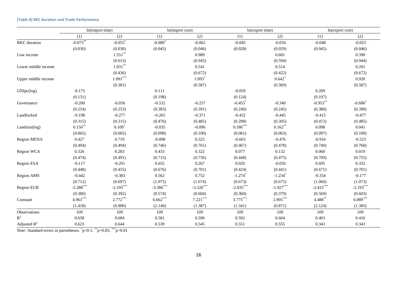|                     | In(import time) |                       | In(import cost)       |             | ln(export time)       |                       | ln(export cost) |             |
|---------------------|-----------------|-----------------------|-----------------------|-------------|-----------------------|-----------------------|-----------------|-------------|
|                     | (1)             | (2)                   | (1)                   | (2)         | (1)                   | (2)                   | (1)             | (2)         |
| RKC duration        | $-0.073***$     | $-0.055$ <sup>*</sup> | $-0.089$ <sup>*</sup> | $-0.062$    | $-0.045$              | $-0.034$              | $-0.048$        | $-0.023$    |
|                     | (0.030)         | (0.030)               | (0.045)               | (0.046)     | (0.028)               | (0.029)               | (0.045)         | (0.046)     |
| Low income          |                 | $1.551***$            |                       | 0.989       |                       | 0.601                 |                 | 0.390       |
|                     |                 | (0.613)               |                       | (0.945)     |                       | (0.594)               |                 | (0.944)     |
| Lower middle income |                 | $1.031**$             |                       | 0.541       |                       | 0.514                 |                 | 0.201       |
|                     |                 | (0.436)               |                       | (0.672)     |                       | (0.422)               |                 | (0.672)     |
| Upper middle income |                 | $1.091***$            |                       | $1.093*$    |                       | $0.642*$              |                 | 0.920       |
|                     |                 | (0.381)               |                       | (0.587)     |                       | (0.369)               |                 | (0.587)     |
| GNIpc(log)          | $-0.175$        |                       | 0.111                 |             | $-0.059$              |                       | 0.209           |             |
|                     | (0.131)         |                       | (0.198)               |             | (0.124)               |                       | (0.197)         |             |
| Governance          | $-0.200$        | $-0.036$              | $-0.532$              | $-0.257$    | $-0.455$ <sup>*</sup> | $-0.340$              | $-0.953***$     | $-0.680^*$  |
|                     | (0.254)         | (0.253)               | (0.383)               | (0.391)     | (0.240)               | (0.245)               | (0.380)         | (0.390)     |
| Landlocked          | $-0.198$        | $-0.277$              | $-0.265$              | $-0.371$    | $-0.432$              | $-0.445$              | $-0.415$        | $-0.477$    |
|                     | (0.315)         | (0.315)               | (0.476)               | (0.485)     | (0.298)               | (0.305)               | (0.472)         | (0.485)     |
| Landsize(log)       | $0.150**$       | $0.109*$              | $-0.035$              | $-0.096$    | $0.186***$            | $0.162***$            | 0.098           | 0.041       |
|                     | (0.065)         | (0.065)               | (0.098)               | (0.100)     | (0.061)               | (0.063)               | (0.097)         | (0.100)     |
| <b>Region MENA</b>  | 0.427           | 0.719                 | $-0.098$              | 0.325       | $-0.663$              | $-0.476$              | $-0.916$        | $-0.523$    |
|                     | (0.494)         | (0.494)               | (0.746)               | (0.761)     | (0.467)               | (0.478)               | (0.740)         | (0.760)     |
| Region WCA          | 0.326           | 0.283                 | 0.433                 | 0.322       | 0.077                 | 0.132                 | 0.060           | 0.019       |
|                     | (0.474)         | (0.491)               | (0.715)               | (0.756)     | (0.448)               | (0.475)               | (0.709)         | (0.755)     |
| Region ESA          | $-0.117$        | $-0.291$              | 0.655                 | 0.267       | 0.020                 | $-0.050$              | 0.695           | 0.332       |
|                     | (0.448)         | (0.455)               | (0.676)               | (0.701)     | (0.424)               | (0.441)               | (0.671)         | (0.701)     |
| <b>Region AMS</b>   | $-0.442$        | $-0.383$              | 0.562                 | 0.752       | $-1.274$ <sup>*</sup> | $-1.234$ <sup>*</sup> | $-0.354$        | $-0.177$    |
|                     | (0.712)         | (0.697)               | (1.075)               | (1.074)     | (0.673)               | (0.675)               | (1.066)         | (1.073)     |
| Region EUR          | $-2.288$ ***    | $-2.103***$           | $-3.586$ ***          | $-3.320***$ | $-2.035***$           | $-1.927***$           | $-2.415***$     | $-2.193***$ |
|                     | (0.380)         | (0.392)               | (0.574)               | (0.604)     | (0.360)               | (0.379)               | (0.569)         | (0.603)     |
| Constant            | $4.963***$      | $2.772***$            | $6.662***$            | $7.221***$  | $3.775***$            | $2.905^{***}$         | 4.488**         | $6.089***$  |
|                     | (1.418)         | (0.900)               | (2.140)               | (1.387)     | (1.341)               | (0.871)               | (2.124)         | (1.385)     |
| Observations        | 109             | 109                   | 109                   | 109         | 109                   | 109                   | 109             | 109         |
| $R^2$               | 0.658           | 0.684                 | 0.581                 | 0.596       | 0.592                 | 0.604                 | 0.403           | 0.416       |
| Adjusted $R^2$      | 0.623           | 0.644                 | 0.539                 | 0.545       | 0.551                 | 0.555                 | 0.343           | 0.343       |

#### **[Table 8] RKC duration and Trade Performance**

*Note:* Standard errors in parentheses.  $p<0.1$ ;  $p<0.05$ ;  $p<0.01$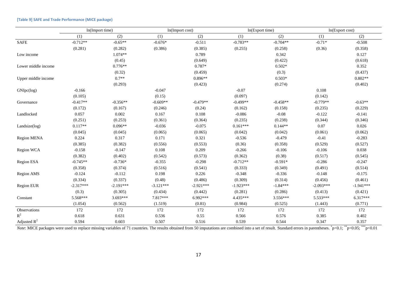|                     | ln(Import time) |             | ln(Import cost) |             | ln(Export time) |            | ln(Export cost) |             |
|---------------------|-----------------|-------------|-----------------|-------------|-----------------|------------|-----------------|-------------|
|                     | (1)             | (2)         | (1)             | (2)         | (1)             | (2)        | (1)             | (2)         |
| <b>SAFE</b>         | $-0.712**$      | $-0.65**$   | $-0.676*$       | $-0.511$    | $-0.783**$      | $-0.704**$ | $-0.71*$        | $-0.508$    |
|                     | (0.281)         | (0.282)     | (0.386)         | (0.385)     | (0.255)         | (0.258)    | (0.36)          | (0.358)     |
| Low income          |                 | $1.074**$   |                 | 0.789       |                 | 0.342      |                 | 0.127       |
|                     |                 | (0.45)      |                 | (0.649)     |                 | (0.422)    |                 | (0.618)     |
| Lower middle income |                 | $0.776**$   |                 | $0.787*$    |                 | $0.502*$   |                 | 0.352       |
|                     |                 | (0.32)      |                 | (0.459)     |                 | (0.3)      |                 | (0.437)     |
| Upper middle income |                 | $0.7**$     |                 | $0.896**$   |                 | $0.503*$   |                 | $0.802**$   |
|                     |                 | (0.293)     |                 | (0.423)     |                 | (0.274)    |                 | (0.402)     |
| GNIpc(log)          | $-0.166$        |             | $-0.047$        |             | $-0.07$         |            | 0.108           |             |
|                     | (0.105)         |             | (0.15)          |             | (0.097)         |            | (0.142)         |             |
| Governance          | $-0.417**$      | $-0.356**$  | $-0.609**$      | $-0.479**$  | $-0.499**$      | $-0.458**$ | $-0.779**$      | $-0.63**$   |
|                     | (0.172)         | (0.167)     | (0.246)         | (0.24)      | (0.162)         | (0.158)    | (0.235)         | (0.229)     |
| Landlocked          | 0.057           | 0.002       | 0.167           | 0.108       | $-0.086$        | $-0.08$    | $-0.122$        | $-0.141$    |
|                     | (0.251)         | (0.253)     | (0.361)         | (0.364)     | (0.235)         | (0.238)    | (0.344)         | (0.346)     |
| Landsize(log)       | $0.117**$       | $0.096**$   | $-0.036$        | $-0.075$    | $0.161***$      | $0.144**$  | 0.07            | 0.026       |
|                     | (0.045)         | (0.045)     | (0.065)         | (0.065)     | (0.042)         | (0.042)    | (0.061)         | (0.062)     |
| <b>Region MENA</b>  | 0.224           | 0.317       | 0.171           | 0.321       | $-0.536$        | $-0.479$   | $-0.41$         | $-0.283$    |
|                     | (0.385)         | (0.382)     | (0.556)         | (0.553)     | (0.36)          | (0.358)    | (0.529)         | (0.527)     |
| Region WCA          | $-0.158$        | $-0.147$    | 0.108           | 0.209       | $-0.266$        | $-0.106$   | $-0.106$        | 0.038       |
|                     | (0.382)         | (0.402)     | (0.542)         | (0.573)     | (0.362)         | (0.38)     | (0.517)         | (0.545)     |
| Region ESA          | $-0.745**$      | $-0.736*$   | $-0.355$        | $-0.298$    | $-0.712**$      | $-0.591*$  | $-0.286$        | $-0.247$    |
|                     | (0.358)         | (0.374)     | (0.516)         | (0.541)     | (0.333)         | (0.349)    | (0.491)         | (0.514)     |
| <b>Region AMS</b>   | $-0.124$        | $-0.112$    | 0.198           | 0.226       | $-0.348$        | $-0.336$   | $-0.148$        | $-0.175$    |
|                     | (0.334)         | (0.337)     | (0.48)          | (0.486)     | (0.309)         | (0.314)    | (0.456)         | (0.461)     |
| Region EUR          | $-2.317***$     | $-2.191***$ | $-3.121***$     | $-2.921***$ | $-1.923***$     | $-1.84***$ | $-2.093***$     | $-1.941***$ |
|                     | (0.3)           | (0.305)     | (0.434)         | (0.442)     | (0.281)         | (0.286)    | (0.413)         | (0.421)     |
| Constant            | 5.568***        | $3.693***$  | 7.817***        | 6.992***    | 4.435***        | $3.556***$ | $5.533***$      | $6.317***$  |
|                     | (1.054)         | (0.562)     | (1.519)         | (0.81)      | (0.984)         | (0.525)    | (1.443)         | (0.771)     |
| Observations        | 172             | 172         | 172             | 172         | 172             | 172        | 172             | 172         |
| $\mathbb{R}^2$      | 0.618           | 0.631       | 0.536           | 0.55        | 0.566           | 0.576      | 0.385           | 0.402       |
| Adjusted $R^2$      | 0.594           | 0.603       | 0.507           | 0.516       | 0.539           | 0.544      | 0.347           | 0.357       |

#### **[Table 9] SAFE and Trade Performance (MICE package)**

*Note*: MICE packages were used to replace missing variables of 71 countries. The results obtained from 50 imputations are combined into a set of result. Standard errors in parentheses.  $*p<0.1$ ; \*\*p<0.05; \*\*\*p<0.01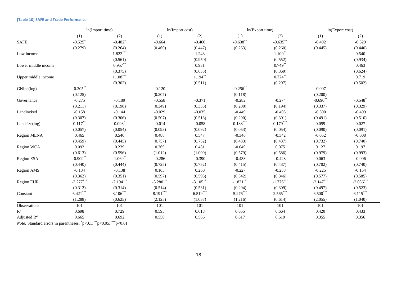#### **[Table 10] SAFE and Trade Performance**

|                     | ln(Import time) |                       | In(Import cost) |             | ln(Export time) |             | ln(Export cost) |                       |
|---------------------|-----------------|-----------------------|-----------------|-------------|-----------------|-------------|-----------------|-----------------------|
|                     | (1)             | (2)                   | (1)             | (2)         | (1)             | (2)         | (1)             | (2)                   |
| <b>SAFE</b>         | $-0.525$        | $-0.482$ <sup>*</sup> | $-0.664$        | $-0.460$    | $-0.638***$     | $-0.635***$ | $-0.492$        | $-0.329$              |
|                     | (0.279)         | (0.264)               | (0.460)         | (0.447)     | (0.263)         | (0.260)     | (0.445)         | (0.440)               |
| Low income          |                 | $1.822***$            |                 | 1.248       |                 | $1.100**$   |                 | 0.540                 |
|                     |                 | (0.561)               |                 | (0.950)     |                 | (0.552)     |                 | (0.934)               |
| Lower middle income |                 | $0.957**$             |                 | 0.931       |                 | $0.749**$   |                 | 0.463                 |
|                     |                 | (0.375)               |                 | (0.635)     |                 | (0.369)     |                 | (0.624)               |
| Upper middle income |                 | $1.108***$            |                 | $1.194***$  |                 | $0.724***$  |                 | 0.719                 |
|                     |                 | (0.302)               |                 | (0.511)     |                 | (0.297)     |                 | (0.502)               |
| GNIpc(log)          | $-0.305***$     |                       | $-0.120$        |             | $-0.256$ **     |             | $-0.007$        |                       |
|                     | (0.125)         |                       | (0.207)         |             | (0.118)         |             | (0.200)         |                       |
| Governance          | $-0.275$        | $-0.189$              | $-0.558$        | $-0.371$    | $-0.282$        | $-0.274$    | $-0.690**$      | $-0.548$ <sup>*</sup> |
|                     | (0.211)         | (0.198)               | (0.349)         | (0.335)     | (0.200)         | (0.194)     | (0.337)         | (0.329)               |
| Landlocked          | $-0.158$        | $-0.144$              | $-0.029$        | $-0.035$    | $-0.449$        | $-0.405$    | $-0.500$        | $-0.499$              |
|                     | (0.307)         | (0.306)               | (0.507)         | (0.518)     | (0.290)         | (0.301)     | (0.491)         | (0.510)               |
| Landsize(log)       | $0.117***$      | $0.093$ <sup>*</sup>  | $-0.014$        | $-0.058$    | $0.188***$      | $0.179***$  | 0.059           | 0.027                 |
|                     | (0.057)         | (0.054)               | (0.093)         | (0.092)     | (0.053)         | (0.054)     | (0.090)         | (0.091)               |
| Region MENA         | 0.465           | 0.540                 | 0.488           | 0.547       | $-0.346$        | $-0.342$    | $-0.052$        | $-0.008$              |
|                     | (0.459)         | (0.445)               | (0.757)         | (0.752)     | (0.433)         | (0.437)     | (0.732)         | (0.740)               |
| Region WCA          | 0.092           | 0.239                 | 0.369           | 0.481       | $-0.049$        | 0.075       | 0.127           | 0.197                 |
|                     | (0.613)         | (0.596)               | (1.012)         | (1.009)     | (0.579)         | (0.586)     | (0.979)         | (0.993)               |
| Region ESA          | $-0.909**$      | $-1.069**$            | $-0.286$        | $-0.390$    | $-0.433$        | $-0.428$    | 0.063           | $-0.006$              |
|                     | (0.440)         | (0.444)               | (0.725)         | (0.752)     | (0.415)         | (0.437)     | (0.702)         | (0.740)               |
| Region AMS          | $-0.134$        | $-0.138$              | 0.163           | 0.260       | $-0.227$        | $-0.238$    | $-0.225$        | $-0.154$              |
|                     | (0.362)         | (0.351)               | (0.597)         | (0.595)     | (0.342)         | (0.346)     | (0.577)         | (0.585)               |
| Region EUR          | $-2.277***$     | $-2.194***$           | $-3.280***$     | $-3.105***$ | $-1.821***$     | $-1.776***$ | $-2.147***$     | $-2.036***$           |
|                     | (0.312)         | (0.314)               | (0.514)         | (0.531)     | (0.294)         | (0.309)     | (0.497)         | (0.523)               |
| Constant            | $6.421***$      | $3.106***$            | $8.191***$      | $6.519***$  | $5.276***$      | $2.565***$  | $6.500***$      | $6.115***$            |
|                     | (1.288)         | (0.625)               | (2.125)         | (1.057)     | (1.216)         | (0.614)     | (2.055)         | (1.040)               |
| Observations        | 101             | 101                   | 101             | 101         | 101             | 101         | 101             | 101                   |
| $\mathbb{R}^2$      | 0.698           | 0.729                 | 0.595           | 0.618       | 0.655           | 0.664       | 0.420           | 0.433                 |
| Adjusted $R^2$      | 0.665           | 0.692                 | 0.550           | 0.566       | 0.617           | 0.619       | 0.355           | 0.356                 |

*Note:* Standard errors in parentheses.  $p<0.1$ ; \*\*p<0.05; \*\*\*p<0.01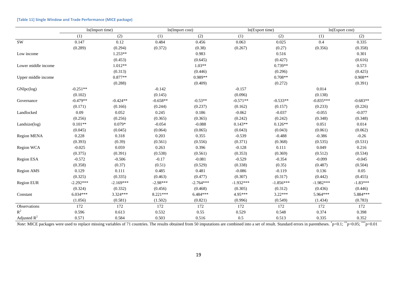|                     | ln(Import time) |             | ln(Import cost) |             | ln(Export time) |             | ln(Export cost) |            |
|---------------------|-----------------|-------------|-----------------|-------------|-----------------|-------------|-----------------|------------|
|                     | (1)             | (2)         | (1)             | (2)         | (1)             | (2)         | (1)             | (2)        |
| <b>SW</b>           | 0.147           | 0.12        | 0.484           | 0.456       | 0.063           | 0.025       | 0.4             | 0.335      |
|                     | (0.289)         | (0.294)     | (0.372)         | (0.38)      | (0.267)         | (0.27)      | (0.356)         | (0.358)    |
| Low income          |                 | $1.253**$   |                 | 0.983       |                 | 0.516       |                 | 0.301      |
|                     |                 | (0.453)     |                 | (0.645)     |                 | (0.427)     |                 | (0.616)    |
| Lower middle income |                 | $1.012**$   |                 | $1.03**$    |                 | $0.739**$   |                 | 0.573      |
|                     |                 | (0.313)     |                 | (0.446)     |                 | (0.296)     |                 | (0.425)    |
| Upper middle income |                 | $0.877**$   |                 | 0.989**     |                 | $0.708**$   |                 | $0.908**$  |
|                     |                 | (0.288)     |                 | (0.409)     |                 | (0.272)     |                 | (0.391)    |
| GNIpc(log)          | $-0.251**$      |             | $-0.142$        |             | $-0.157$        |             | 0.014           |            |
|                     | (0.102)         |             | (0.145)         |             | (0.096)         |             | (0.138)         |            |
| Governance          | $-0.479**$      | $-0.424**$  | $-0.658**$      | $-0.53**$   | $-0.571**$      | $-0.533**$  | $-0.835***$     | $-0.683**$ |
|                     | (0.171)         | (0.166)     | (0.244)         | (0.237)     | (0.162)         | (0.157)     | (0.233)         | (0.226)    |
| Landlocked          | 0.09            | 0.052       | 0.245           | 0.186       | $-0.062$        | $-0.037$    | $-0.055$        | $-0.077$   |
|                     | (0.256)         | (0.256)     | (0.365)         | (0.365)     | (0.242)         | (0.242)     | (0.348)         | (0.348)    |
| Landsize(log)       | $0.101**$       | $0.079*$    | $-0.054$        | $-0.088$    | $0.143**$       | $0.126**$   | 0.051           | 0.014      |
|                     | (0.045)         | (0.045)     | (0.064)         | (0.065)     | (0.043)         | (0.043)     | (0.061)         | (0.062)    |
| Region MENA         | 0.228           | 0.318       | 0.203           | 0.355       | $-0.539$        | $-0.488$    | $-0.386$        | $-0.26$    |
|                     | (0.393)         | (0.39)      | (0.561)         | (0.556)     | (0.371)         | (0.368)     | (0.535)         | (0.531)    |
| Region WCA          | $-0.025$        | 0.059       | 0.263           | 0.396       | $-0.128$        | 0.111       | 0.049           | 0.216      |
|                     | (0.375)         | (0.391)     | (0.538)         | (0.561)     | (0.353)         | (0.369)     | (0.512)         | (0.534)    |
| Region ESA          | $-0.572$        | $-0.506$    | $-0.17$         | $-0.081$    | $-0.529$        | $-0.354$    | $-0.099$        | $-0.045$   |
|                     | (0.358)         | (0.37)      | (0.51)          | (0.529)     | (0.338)         | (0.35)      | (0.487)         | (0.504)    |
| <b>Region AMS</b>   | 0.129           | 0.111       | 0.485           | 0.481       | $-0.086$        | $-0.119$    | 0.136           | 0.05       |
|                     | (0.325)         | (0.335)     | (0.463)         | (0.477)     | (0.307)         | (0.317)     | (0.442)         | (0.455)    |
| Region EUR          | $-2.292***$     | $-2.169***$ | $-2.98***$      | $-2.764***$ | $-1.932***$     | $-1.856***$ | $-1.982***$     | $-1.83***$ |
|                     | (0.324)         | (0.332)     | (0.456)         | (0.468)     | (0.305)         | (0.312)     | (0.436)         | (0.446)    |
| Constant            | $6.034***$      | $3.324***$  | 8.221***        | $6.484***$  | 4.95***         | $3.22***$   | 5.964***        | 5.884***   |
|                     | (1.056)         | (0.581)     | (1.502)         | (0.821)     | (0.996)         | (0.549)     | (1.434)         | (0.783)    |
| Observations        | 172             | 172         | 172             | 172         | 172             | 172         | 172             | 172        |
| $\mathbb{R}^2$      | 0.596           | 0.613       | 0.532           | 0.55        | 0.529           | 0.548       | 0.374           | 0.398      |
| Adjusted $R^2$      | 0.571           | 0.584       | 0.503           | 0.516       | 0.5             | 0.513       | 0.335           | 0.352      |

#### **[Table 11] Single Window and Trade Performance (MICE package)**

*Note*: MICE packages were used to replace missing variables of 71 countries. The results obtained from 50 imputations are combined into a set of result. Standard errors in parentheses.  $\check{p}<0.1$ ;  $\check{p}<0.05$ ;  $\check{p}<0.01$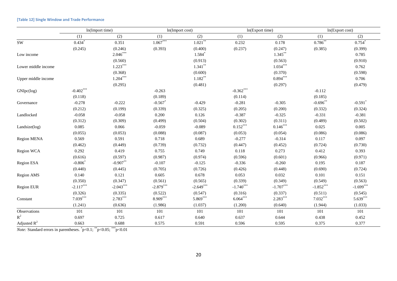|                     | ln(Import time)      |             | ln(Import cost) |                      | ln(Export time) |             | ln(Export cost) |                       |
|---------------------|----------------------|-------------|-----------------|----------------------|-----------------|-------------|-----------------|-----------------------|
|                     | (1)                  | (2)         | (1)             | (2)                  | (1)             | (2)         | (1)             | (2)                   |
| $\mathrm{SW}$       | $0.434$ <sup>*</sup> | 0.351       | $1.067***$      | $1.021***$           | 0.232           | 0.178       | $0.786**$       | $0.754*$              |
|                     | (0.245)              | (0.246)     | (0.393)         | (0.400)              | (0.237)         | (0.247)     | (0.385)         | (0.399)               |
| Low income          |                      | $2.046***$  |                 | $1.584$ <sup>*</sup> |                 | $1.345***$  |                 | 0.785                 |
|                     |                      | (0.560)     |                 | (0.913)              |                 | (0.563)     |                 | (0.910)               |
| Lower middle income |                      | $1.223***$  |                 | $1.341***$           |                 | $1.034***$  |                 | 0.762                 |
|                     |                      | (0.368)     |                 | (0.600)              |                 | (0.370)     |                 | (0.598)               |
| Upper middle income |                      | $1.204***$  |                 | $1.182***$           |                 | $0.894***$  |                 | 0.706                 |
|                     |                      | (0.295)     |                 | (0.481)              |                 | (0.297)     |                 | (0.479)               |
| GNIpc(log)          | $-0.402***$          |             | $-0.263$        |                      | $-0.362***$     |             | $-0.112$        |                       |
|                     | (0.118)              |             | (0.189)         |                      | (0.114)         |             | (0.185)         |                       |
| Governance          | $-0.278$             | $-0.222$    | $-0.567$        | $-0.429$             | $-0.281$        | $-0.305$    | $-0.696**$      | $-0.591$ <sup>*</sup> |
|                     | (0.212)              | (0.199)     | (0.339)         | (0.325)              | (0.205)         | (0.200)     | (0.332)         | (0.324)               |
| Landlocked          | $-0.058$             | $-0.058$    | 0.200           | 0.126                | $-0.387$        | $-0.325$    | $-0.331$        | $-0.381$              |
|                     | (0.312)              | (0.309)     | (0.499)         | (0.504)              | (0.302)         | (0.311)     | (0.489)         | (0.502)               |
| Landsize(log)       | 0.085                | 0.066       | $-0.059$        | $-0.089$             | $0.152***$      | $0.146***$  | 0.025           | 0.005                 |
|                     | (0.055)              | (0.053)     | (0.088)         | (0.087)              | (0.053)         | (0.054)     | (0.086)         | (0.086)               |
| <b>Region MENA</b>  | 0.569                | 0.591       | 0.718           | 0.689                | $-0.277$        | $-0.314$    | 0.117           | 0.097                 |
|                     | (0.462)              | (0.449)     | (0.739)         | (0.732)              | (0.447)         | (0.452)     | (0.724)         | (0.730)               |
| Region WCA          | 0.292                | 0.419       | 0.755           | 0.749                | 0.118           | 0.273       | 0.412           | 0.393                 |
|                     | (0.616)              | (0.597)     | (0.987)         | (0.974)              | (0.596)         | (0.601)     | (0.966)         | (0.971)               |
| <b>Region ESA</b>   | $-0.806*$            | $-0.907**$  | $-0.107$        | $-0.125$             | $-0.336$        | $-0.260$    | 0.195           | 0.187                 |
|                     | (0.440)              | (0.445)     | (0.705)         | (0.726)              | (0.426)         | (0.448)     | (0.690)         | (0.724)               |
| Region AMS          | 0.140                | 0.121       | 0.605           | 0.678                | 0.053           | 0.032       | 0.101           | 0.151                 |
|                     | (0.350)              | (0.347)     | (0.561)         | (0.565)              | (0.339)         | (0.349)     | (0.549)         | (0.563)               |
| Region EUR          | $-2.117***$          | $-2.043***$ | $-2.879***$     | $-2.649***$          | $-1.740***$     | $-1.707***$ | $-1.852***$     | $-1.699***$           |
|                     | (0.326)              | (0.335)     | (0.522)         | (0.547)              | (0.316)         | (0.337)     | (0.511)         | (0.545)               |
| Constant            | $7.039***$           | $2.783***$  | $8.909***$      | 5.869***             | $6.064***$      | $2.283***$  | $7.032***$      | $5.639***$            |
|                     | (1.241)              | (0.636)     | (1.986)         | (1.037)              | (1.200)         | (0.640)     | (1.944)         | (1.033)               |
| Observations        | 101                  | 101         | 101             | 101                  | 101             | 101         | 101             | 101                   |
| $\mathbb{R}^2$      | 0.697                | 0.725       | 0.617           | 0.640                | 0.637           | 0.644       | 0.438           | 0.452                 |
| Adjusted $R^2$      | 0.663                | 0.688       | 0.575           | 0.591                | 0.596           | 0.595       | 0.375           | 0.377                 |

#### **[Table 12] Single Window and Trade Performance**

*Note:* Standard errors in parentheses.  $p<0.1$ ; \*\*p<0.05; \*\*\*p<0.01